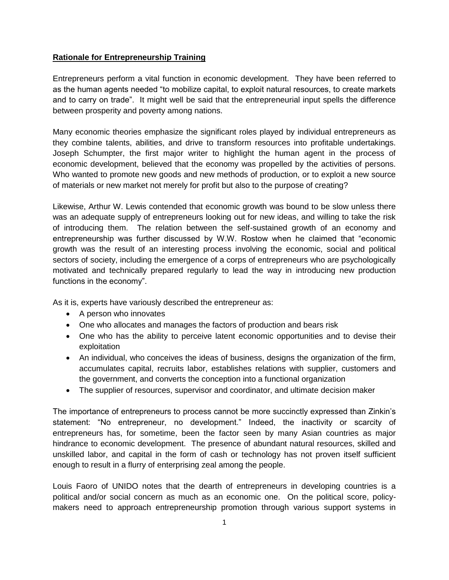## **Rationale for Entrepreneurship Training**

Entrepreneurs perform a vital function in economic development. They have been referred to as the human agents needed "to mobilize capital, to exploit natural resources, to create markets and to carry on trade". It might well be said that the entrepreneurial input spells the difference between prosperity and poverty among nations.

Many economic theories emphasize the significant roles played by individual entrepreneurs as they combine talents, abilities, and drive to transform resources into profitable undertakings. Joseph Schumpter, the first major writer to highlight the human agent in the process of economic development, believed that the economy was propelled by the activities of persons. Who wanted to promote new goods and new methods of production, or to exploit a new source of materials or new market not merely for profit but also to the purpose of creating?

Likewise, Arthur W. Lewis contended that economic growth was bound to be slow unless there was an adequate supply of entrepreneurs looking out for new ideas, and willing to take the risk of introducing them. The relation between the self-sustained growth of an economy and entrepreneurship was further discussed by W.W. Rostow when he claimed that "economic growth was the result of an interesting process involving the economic, social and political sectors of society, including the emergence of a corps of entrepreneurs who are psychologically motivated and technically prepared regularly to lead the way in introducing new production functions in the economy".

As it is, experts have variously described the entrepreneur as:

- A person who innovates
- One who allocates and manages the factors of production and bears risk
- One who has the ability to perceive latent economic opportunities and to devise their exploitation
- An individual, who conceives the ideas of business, designs the organization of the firm, accumulates capital, recruits labor, establishes relations with supplier, customers and the government, and converts the conception into a functional organization
- The supplier of resources, supervisor and coordinator, and ultimate decision maker

The importance of entrepreneurs to process cannot be more succinctly expressed than Zinkin's statement: "No entrepreneur, no development." Indeed, the inactivity or scarcity of entrepreneurs has, for sometime, been the factor seen by many Asian countries as major hindrance to economic development. The presence of abundant natural resources, skilled and unskilled labor, and capital in the form of cash or technology has not proven itself sufficient enough to result in a flurry of enterprising zeal among the people.

Louis Faoro of UNIDO notes that the dearth of entrepreneurs in developing countries is a political and/or social concern as much as an economic one. On the political score, policymakers need to approach entrepreneurship promotion through various support systems in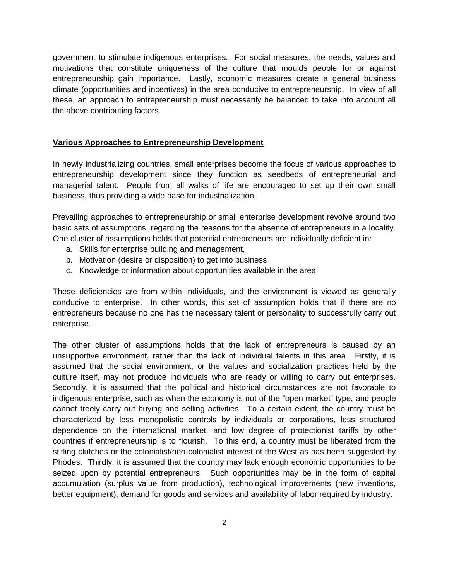government to stimulate indigenous enterprises. For social measures, the needs, values and motivations that constitute uniqueness of the culture that moulds people for or against entrepreneurship gain importance. Lastly, economic measures create a general business climate (opportunities and incentives) in the area conducive to entrepreneurship. In view of all these, an approach to entrepreneurship must necessarily be balanced to take into account all the above contributing factors.

### **Various Approaches to Entrepreneurship Development**

In newly industrializing countries, small enterprises become the focus of various approaches to entrepreneurship development since they function as seedbeds of entrepreneurial and managerial talent. People from all walks of life are encouraged to set up their own small business, thus providing a wide base for industrialization.

Prevailing approaches to entrepreneurship or small enterprise development revolve around two basic sets of assumptions, regarding the reasons for the absence of entrepreneurs in a locality. One cluster of assumptions holds that potential entrepreneurs are individually deficient in:

- a. Skills for enterprise building and management,
- b. Motivation (desire or disposition) to get into business
- c. Knowledge or information about opportunities available in the area

These deficiencies are from within individuals, and the environment is viewed as generally conducive to enterprise. In other words, this set of assumption holds that if there are no entrepreneurs because no one has the necessary talent or personality to successfully carry out enterprise.

The other cluster of assumptions holds that the lack of entrepreneurs is caused by an unsupportive environment, rather than the lack of individual talents in this area. Firstly, it is assumed that the social environment, or the values and socialization practices held by the culture itself, may not produce individuals who are ready or willing to carry out enterprises. Secondly, it is assumed that the political and historical circumstances are not favorable to indigenous enterprise, such as when the economy is not of the "open market" type, and people cannot freely carry out buying and selling activities. To a certain extent, the country must be characterized by less monopolistic controls by individuals or corporations, less structured dependence on the international market, and low degree of protectionist tariffs by other countries if entrepreneurship is to flourish. To this end, a country must be liberated from the stifling clutches or the colonialist/neo-colonialist interest of the West as has been suggested by Phodes. Thirdly, it is assumed that the country may lack enough economic opportunities to be seized upon by potential entrepreneurs. Such opportunities may be in the form of capital accumulation (surplus value from production), technological improvements (new inventions, better equipment), demand for goods and services and availability of labor required by industry.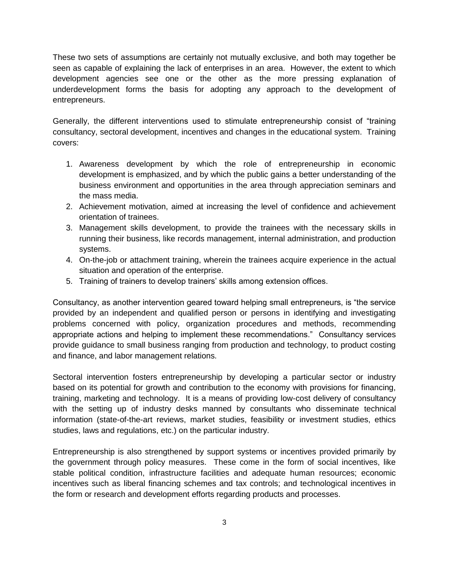These two sets of assumptions are certainly not mutually exclusive, and both may together be seen as capable of explaining the lack of enterprises in an area. However, the extent to which development agencies see one or the other as the more pressing explanation of underdevelopment forms the basis for adopting any approach to the development of entrepreneurs.

Generally, the different interventions used to stimulate entrepreneurship consist of "training consultancy, sectoral development, incentives and changes in the educational system. Training covers:

- 1. Awareness development by which the role of entrepreneurship in economic development is emphasized, and by which the public gains a better understanding of the business environment and opportunities in the area through appreciation seminars and the mass media.
- 2. Achievement motivation, aimed at increasing the level of confidence and achievement orientation of trainees.
- 3. Management skills development, to provide the trainees with the necessary skills in running their business, like records management, internal administration, and production systems.
- 4. On-the-job or attachment training, wherein the trainees acquire experience in the actual situation and operation of the enterprise.
- 5. Training of trainers to develop trainers' skills among extension offices.

Consultancy, as another intervention geared toward helping small entrepreneurs, is "the service provided by an independent and qualified person or persons in identifying and investigating problems concerned with policy, organization procedures and methods, recommending appropriate actions and helping to implement these recommendations." Consultancy services provide guidance to small business ranging from production and technology, to product costing and finance, and labor management relations.

Sectoral intervention fosters entrepreneurship by developing a particular sector or industry based on its potential for growth and contribution to the economy with provisions for financing, training, marketing and technology. It is a means of providing low-cost delivery of consultancy with the setting up of industry desks manned by consultants who disseminate technical information (state-of-the-art reviews, market studies, feasibility or investment studies, ethics studies, laws and regulations, etc.) on the particular industry.

Entrepreneurship is also strengthened by support systems or incentives provided primarily by the government through policy measures. These come in the form of social incentives, like stable political condition, infrastructure facilities and adequate human resources; economic incentives such as liberal financing schemes and tax controls; and technological incentives in the form or research and development efforts regarding products and processes.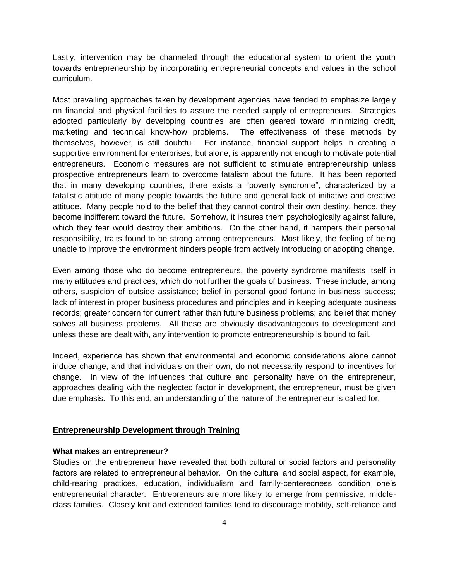Lastly, intervention may be channeled through the educational system to orient the youth towards entrepreneurship by incorporating entrepreneurial concepts and values in the school curriculum.

Most prevailing approaches taken by development agencies have tended to emphasize largely on financial and physical facilities to assure the needed supply of entrepreneurs. Strategies adopted particularly by developing countries are often geared toward minimizing credit, marketing and technical know-how problems. The effectiveness of these methods by themselves, however, is still doubtful. For instance, financial support helps in creating a supportive environment for enterprises, but alone, is apparently not enough to motivate potential entrepreneurs. Economic measures are not sufficient to stimulate entrepreneurship unless prospective entrepreneurs learn to overcome fatalism about the future. It has been reported that in many developing countries, there exists a "poverty syndrome", characterized by a fatalistic attitude of many people towards the future and general lack of initiative and creative attitude. Many people hold to the belief that they cannot control their own destiny, hence, they become indifferent toward the future. Somehow, it insures them psychologically against failure, which they fear would destroy their ambitions. On the other hand, it hampers their personal responsibility, traits found to be strong among entrepreneurs. Most likely, the feeling of being unable to improve the environment hinders people from actively introducing or adopting change.

Even among those who do become entrepreneurs, the poverty syndrome manifests itself in many attitudes and practices, which do not further the goals of business. These include, among others, suspicion of outside assistance; belief in personal good fortune in business success; lack of interest in proper business procedures and principles and in keeping adequate business records; greater concern for current rather than future business problems; and belief that money solves all business problems. All these are obviously disadvantageous to development and unless these are dealt with, any intervention to promote entrepreneurship is bound to fail.

Indeed, experience has shown that environmental and economic considerations alone cannot induce change, and that individuals on their own, do not necessarily respond to incentives for change. In view of the influences that culture and personality have on the entrepreneur, approaches dealing with the neglected factor in development, the entrepreneur, must be given due emphasis. To this end, an understanding of the nature of the entrepreneur is called for.

#### **Entrepreneurship Development through Training**

#### **What makes an entrepreneur?**

Studies on the entrepreneur have revealed that both cultural or social factors and personality factors are related to entrepreneurial behavior. On the cultural and social aspect, for example, child-rearing practices, education, individualism and family-centeredness condition one's entrepreneurial character. Entrepreneurs are more likely to emerge from permissive, middleclass families. Closely knit and extended families tend to discourage mobility, self-reliance and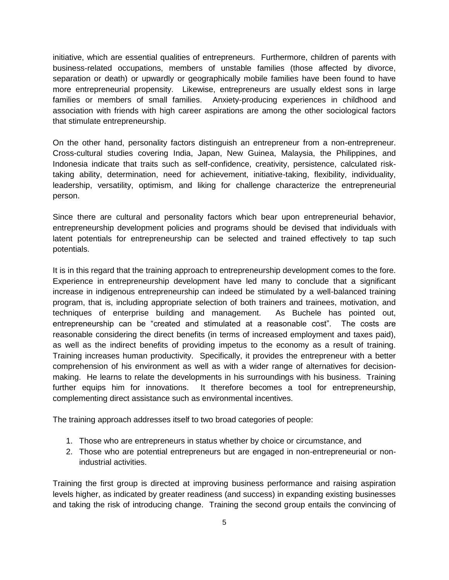initiative, which are essential qualities of entrepreneurs. Furthermore, children of parents with business-related occupations, members of unstable families (those affected by divorce, separation or death) or upwardly or geographically mobile families have been found to have more entrepreneurial propensity. Likewise, entrepreneurs are usually eldest sons in large families or members of small families. Anxiety-producing experiences in childhood and association with friends with high career aspirations are among the other sociological factors that stimulate entrepreneurship.

On the other hand, personality factors distinguish an entrepreneur from a non-entrepreneur. Cross-cultural studies covering India, Japan, New Guinea, Malaysia, the Philippines, and Indonesia indicate that traits such as self-confidence, creativity, persistence, calculated risktaking ability, determination, need for achievement, initiative-taking, flexibility, individuality, leadership, versatility, optimism, and liking for challenge characterize the entrepreneurial person.

Since there are cultural and personality factors which bear upon entrepreneurial behavior, entrepreneurship development policies and programs should be devised that individuals with latent potentials for entrepreneurship can be selected and trained effectively to tap such potentials.

It is in this regard that the training approach to entrepreneurship development comes to the fore. Experience in entrepreneurship development have led many to conclude that a significant increase in indigenous entrepreneurship can indeed be stimulated by a well-balanced training program, that is, including appropriate selection of both trainers and trainees, motivation, and techniques of enterprise building and management. As Buchele has pointed out, entrepreneurship can be "created and stimulated at a reasonable cost". The costs are reasonable considering the direct benefits (in terms of increased employment and taxes paid), as well as the indirect benefits of providing impetus to the economy as a result of training. Training increases human productivity. Specifically, it provides the entrepreneur with a better comprehension of his environment as well as with a wider range of alternatives for decisionmaking. He learns to relate the developments in his surroundings with his business. Training further equips him for innovations. It therefore becomes a tool for entrepreneurship, complementing direct assistance such as environmental incentives.

The training approach addresses itself to two broad categories of people:

- 1. Those who are entrepreneurs in status whether by choice or circumstance, and
- 2. Those who are potential entrepreneurs but are engaged in non-entrepreneurial or nonindustrial activities.

Training the first group is directed at improving business performance and raising aspiration levels higher, as indicated by greater readiness (and success) in expanding existing businesses and taking the risk of introducing change. Training the second group entails the convincing of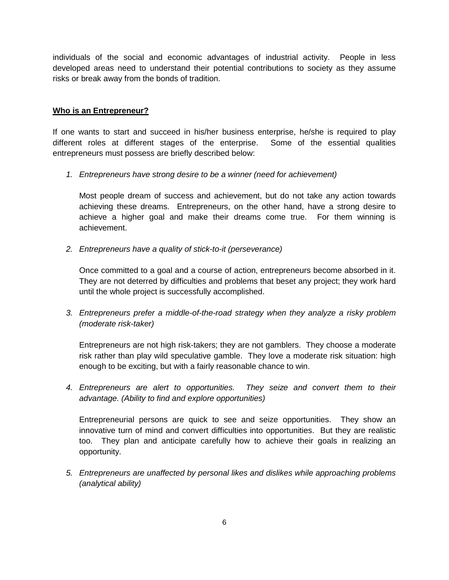individuals of the social and economic advantages of industrial activity. People in less developed areas need to understand their potential contributions to society as they assume risks or break away from the bonds of tradition.

### **Who is an Entrepreneur?**

If one wants to start and succeed in his/her business enterprise, he/she is required to play different roles at different stages of the enterprise. Some of the essential qualities entrepreneurs must possess are briefly described below:

*1. Entrepreneurs have strong desire to be a winner (need for achievement)*

Most people dream of success and achievement, but do not take any action towards achieving these dreams. Entrepreneurs, on the other hand, have a strong desire to achieve a higher goal and make their dreams come true. For them winning is achievement.

*2. Entrepreneurs have a quality of stick-to-it (perseverance)*

Once committed to a goal and a course of action, entrepreneurs become absorbed in it. They are not deterred by difficulties and problems that beset any project; they work hard until the whole project is successfully accomplished.

*3. Entrepreneurs prefer a middle-of-the-road strategy when they analyze a risky problem (moderate risk-taker)*

Entrepreneurs are not high risk-takers; they are not gamblers. They choose a moderate risk rather than play wild speculative gamble. They love a moderate risk situation: high enough to be exciting, but with a fairly reasonable chance to win.

*4. Entrepreneurs are alert to opportunities. They seize and convert them to their advantage. (Ability to find and explore opportunities)*

Entrepreneurial persons are quick to see and seize opportunities. They show an innovative turn of mind and convert difficulties into opportunities. But they are realistic too. They plan and anticipate carefully how to achieve their goals in realizing an opportunity.

*5. Entrepreneurs are unaffected by personal likes and dislikes while approaching problems (analytical ability)*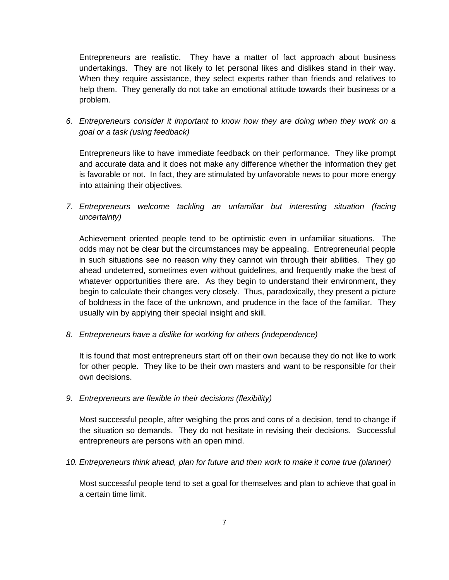Entrepreneurs are realistic. They have a matter of fact approach about business undertakings. They are not likely to let personal likes and dislikes stand in their way. When they require assistance, they select experts rather than friends and relatives to help them. They generally do not take an emotional attitude towards their business or a problem.

*6. Entrepreneurs consider it important to know how they are doing when they work on a goal or a task (using feedback)*

Entrepreneurs like to have immediate feedback on their performance. They like prompt and accurate data and it does not make any difference whether the information they get is favorable or not. In fact, they are stimulated by unfavorable news to pour more energy into attaining their objectives.

*7. Entrepreneurs welcome tackling an unfamiliar but interesting situation (facing uncertainty)*

Achievement oriented people tend to be optimistic even in unfamiliar situations. The odds may not be clear but the circumstances may be appealing. Entrepreneurial people in such situations see no reason why they cannot win through their abilities. They go ahead undeterred, sometimes even without guidelines, and frequently make the best of whatever opportunities there are. As they begin to understand their environment, they begin to calculate their changes very closely. Thus, paradoxically, they present a picture of boldness in the face of the unknown, and prudence in the face of the familiar. They usually win by applying their special insight and skill.

*8. Entrepreneurs have a dislike for working for others (independence)*

It is found that most entrepreneurs start off on their own because they do not like to work for other people. They like to be their own masters and want to be responsible for their own decisions.

*9. Entrepreneurs are flexible in their decisions (flexibility)*

Most successful people, after weighing the pros and cons of a decision, tend to change if the situation so demands. They do not hesitate in revising their decisions. Successful entrepreneurs are persons with an open mind.

*10. Entrepreneurs think ahead, plan for future and then work to make it come true (planner)*

Most successful people tend to set a goal for themselves and plan to achieve that goal in a certain time limit.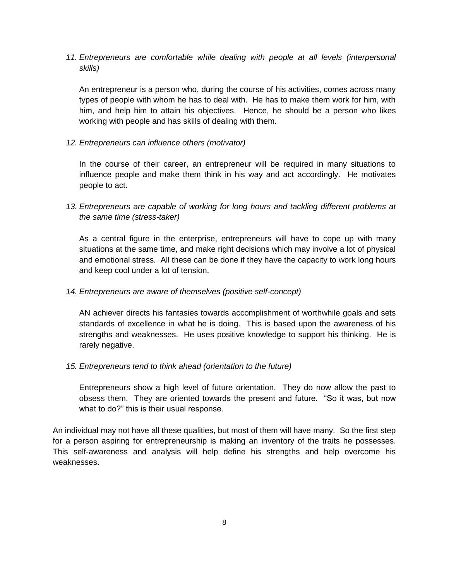*11. Entrepreneurs are comfortable while dealing with people at all levels (interpersonal skills)*

An entrepreneur is a person who, during the course of his activities, comes across many types of people with whom he has to deal with. He has to make them work for him, with him, and help him to attain his objectives. Hence, he should be a person who likes working with people and has skills of dealing with them.

*12. Entrepreneurs can influence others (motivator)*

In the course of their career, an entrepreneur will be required in many situations to influence people and make them think in his way and act accordingly. He motivates people to act.

*13. Entrepreneurs are capable of working for long hours and tackling different problems at the same time (stress-taker)*

As a central figure in the enterprise, entrepreneurs will have to cope up with many situations at the same time, and make right decisions which may involve a lot of physical and emotional stress. All these can be done if they have the capacity to work long hours and keep cool under a lot of tension.

## *14. Entrepreneurs are aware of themselves (positive self-concept)*

AN achiever directs his fantasies towards accomplishment of worthwhile goals and sets standards of excellence in what he is doing. This is based upon the awareness of his strengths and weaknesses. He uses positive knowledge to support his thinking. He is rarely negative.

## *15. Entrepreneurs tend to think ahead (orientation to the future)*

Entrepreneurs show a high level of future orientation. They do now allow the past to obsess them. They are oriented towards the present and future. "So it was, but now what to do?" this is their usual response.

An individual may not have all these qualities, but most of them will have many. So the first step for a person aspiring for entrepreneurship is making an inventory of the traits he possesses. This self-awareness and analysis will help define his strengths and help overcome his weaknesses.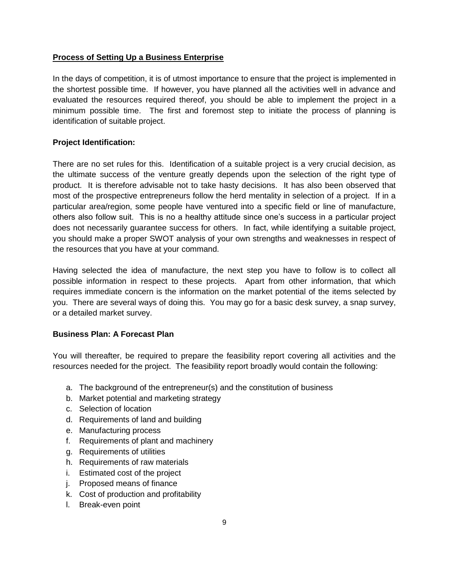## **Process of Setting Up a Business Enterprise**

In the days of competition, it is of utmost importance to ensure that the project is implemented in the shortest possible time. If however, you have planned all the activities well in advance and evaluated the resources required thereof, you should be able to implement the project in a minimum possible time. The first and foremost step to initiate the process of planning is identification of suitable project.

## **Project Identification:**

There are no set rules for this. Identification of a suitable project is a very crucial decision, as the ultimate success of the venture greatly depends upon the selection of the right type of product. It is therefore advisable not to take hasty decisions. It has also been observed that most of the prospective entrepreneurs follow the herd mentality in selection of a project. If in a particular area/region, some people have ventured into a specific field or line of manufacture, others also follow suit. This is no a healthy attitude since one's success in a particular project does not necessarily guarantee success for others. In fact, while identifying a suitable project, you should make a proper SWOT analysis of your own strengths and weaknesses in respect of the resources that you have at your command.

Having selected the idea of manufacture, the next step you have to follow is to collect all possible information in respect to these projects. Apart from other information, that which requires immediate concern is the information on the market potential of the items selected by you. There are several ways of doing this. You may go for a basic desk survey, a snap survey, or a detailed market survey.

## **Business Plan: A Forecast Plan**

You will thereafter, be required to prepare the feasibility report covering all activities and the resources needed for the project. The feasibility report broadly would contain the following:

- a. The background of the entrepreneur(s) and the constitution of business
- b. Market potential and marketing strategy
- c. Selection of location
- d. Requirements of land and building
- e. Manufacturing process
- f. Requirements of plant and machinery
- g. Requirements of utilities
- h. Requirements of raw materials
- i. Estimated cost of the project
- j. Proposed means of finance
- k. Cost of production and profitability
- l. Break-even point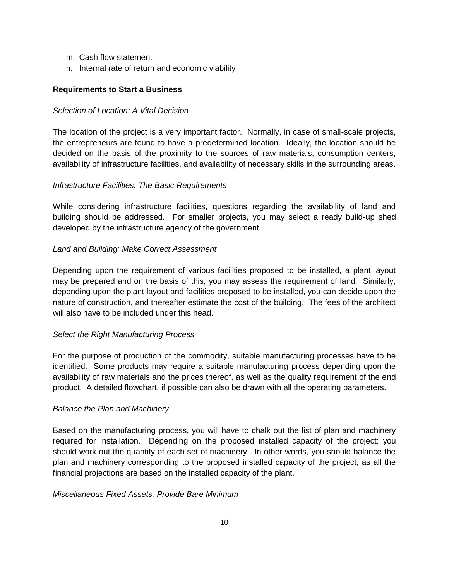- m. Cash flow statement
- n. Internal rate of return and economic viability

### **Requirements to Start a Business**

### *Selection of Location: A Vital Decision*

The location of the project is a very important factor. Normally, in case of small-scale projects, the entrepreneurs are found to have a predetermined location. Ideally, the location should be decided on the basis of the proximity to the sources of raw materials, consumption centers, availability of infrastructure facilities, and availability of necessary skills in the surrounding areas.

### *Infrastructure Facilities: The Basic Requirements*

While considering infrastructure facilities, questions regarding the availability of land and building should be addressed. For smaller projects, you may select a ready build-up shed developed by the infrastructure agency of the government.

### *Land and Building: Make Correct Assessment*

Depending upon the requirement of various facilities proposed to be installed, a plant layout may be prepared and on the basis of this, you may assess the requirement of land. Similarly, depending upon the plant layout and facilities proposed to be installed, you can decide upon the nature of construction, and thereafter estimate the cost of the building. The fees of the architect will also have to be included under this head.

## *Select the Right Manufacturing Process*

For the purpose of production of the commodity, suitable manufacturing processes have to be identified. Some products may require a suitable manufacturing process depending upon the availability of raw materials and the prices thereof, as well as the quality requirement of the end product. A detailed flowchart, if possible can also be drawn with all the operating parameters.

### *Balance the Plan and Machinery*

Based on the manufacturing process, you will have to chalk out the list of plan and machinery required for installation. Depending on the proposed installed capacity of the project: you should work out the quantity of each set of machinery. In other words, you should balance the plan and machinery corresponding to the proposed installed capacity of the project, as all the financial projections are based on the installed capacity of the plant.

### *Miscellaneous Fixed Assets: Provide Bare Minimum*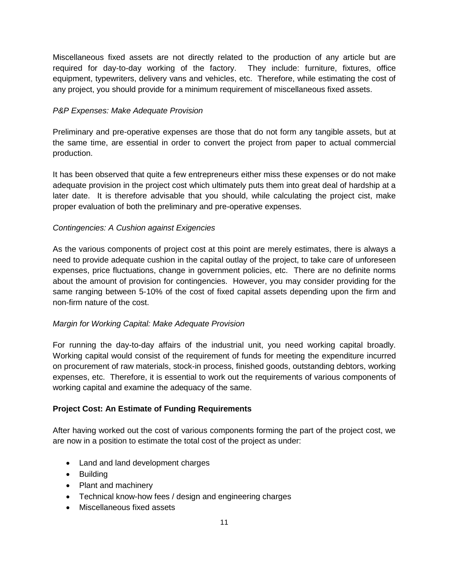Miscellaneous fixed assets are not directly related to the production of any article but are required for day-to-day working of the factory. They include: furniture, fixtures, office equipment, typewriters, delivery vans and vehicles, etc. Therefore, while estimating the cost of any project, you should provide for a minimum requirement of miscellaneous fixed assets.

## *P&P Expenses: Make Adequate Provision*

Preliminary and pre-operative expenses are those that do not form any tangible assets, but at the same time, are essential in order to convert the project from paper to actual commercial production.

It has been observed that quite a few entrepreneurs either miss these expenses or do not make adequate provision in the project cost which ultimately puts them into great deal of hardship at a later date. It is therefore advisable that you should, while calculating the project cist, make proper evaluation of both the preliminary and pre-operative expenses.

## *Contingencies: A Cushion against Exigencies*

As the various components of project cost at this point are merely estimates, there is always a need to provide adequate cushion in the capital outlay of the project, to take care of unforeseen expenses, price fluctuations, change in government policies, etc. There are no definite norms about the amount of provision for contingencies. However, you may consider providing for the same ranging between 5-10% of the cost of fixed capital assets depending upon the firm and non-firm nature of the cost.

## *Margin for Working Capital: Make Adequate Provision*

For running the day-to-day affairs of the industrial unit, you need working capital broadly. Working capital would consist of the requirement of funds for meeting the expenditure incurred on procurement of raw materials, stock-in process, finished goods, outstanding debtors, working expenses, etc. Therefore, it is essential to work out the requirements of various components of working capital and examine the adequacy of the same.

## **Project Cost: An Estimate of Funding Requirements**

After having worked out the cost of various components forming the part of the project cost, we are now in a position to estimate the total cost of the project as under:

- Land and land development charges
- Building
- Plant and machinery
- Technical know-how fees / design and engineering charges
- Miscellaneous fixed assets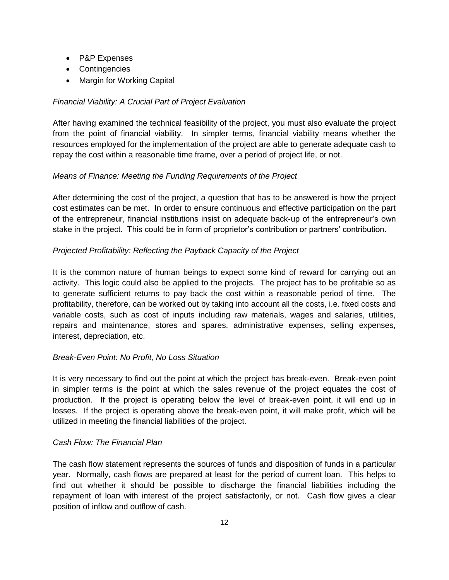- P&P Expenses
- Contingencies
- Margin for Working Capital

## *Financial Viability: A Crucial Part of Project Evaluation*

After having examined the technical feasibility of the project, you must also evaluate the project from the point of financial viability. In simpler terms, financial viability means whether the resources employed for the implementation of the project are able to generate adequate cash to repay the cost within a reasonable time frame, over a period of project life, or not.

## *Means of Finance: Meeting the Funding Requirements of the Project*

After determining the cost of the project, a question that has to be answered is how the project cost estimates can be met. In order to ensure continuous and effective participation on the part of the entrepreneur, financial institutions insist on adequate back-up of the entrepreneur's own stake in the project. This could be in form of proprietor's contribution or partners' contribution.

## *Projected Profitability: Reflecting the Payback Capacity of the Project*

It is the common nature of human beings to expect some kind of reward for carrying out an activity. This logic could also be applied to the projects. The project has to be profitable so as to generate sufficient returns to pay back the cost within a reasonable period of time. The profitability, therefore, can be worked out by taking into account all the costs, i.e. fixed costs and variable costs, such as cost of inputs including raw materials, wages and salaries, utilities, repairs and maintenance, stores and spares, administrative expenses, selling expenses, interest, depreciation, etc.

## *Break-Even Point: No Profit, No Loss Situation*

It is very necessary to find out the point at which the project has break-even. Break-even point in simpler terms is the point at which the sales revenue of the project equates the cost of production. If the project is operating below the level of break-even point, it will end up in losses. If the project is operating above the break-even point, it will make profit, which will be utilized in meeting the financial liabilities of the project.

## *Cash Flow: The Financial Plan*

The cash flow statement represents the sources of funds and disposition of funds in a particular year. Normally, cash flows are prepared at least for the period of current loan. This helps to find out whether it should be possible to discharge the financial liabilities including the repayment of loan with interest of the project satisfactorily, or not. Cash flow gives a clear position of inflow and outflow of cash.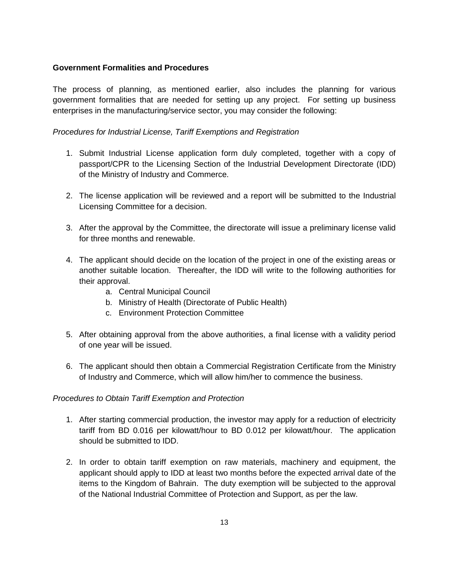## **Government Formalities and Procedures**

The process of planning, as mentioned earlier, also includes the planning for various government formalities that are needed for setting up any project. For setting up business enterprises in the manufacturing/service sector, you may consider the following:

*Procedures for Industrial License, Tariff Exemptions and Registration*

- 1. Submit Industrial License application form duly completed, together with a copy of passport/CPR to the Licensing Section of the Industrial Development Directorate (IDD) of the Ministry of Industry and Commerce.
- 2. The license application will be reviewed and a report will be submitted to the Industrial Licensing Committee for a decision.
- 3. After the approval by the Committee, the directorate will issue a preliminary license valid for three months and renewable.
- 4. The applicant should decide on the location of the project in one of the existing areas or another suitable location. Thereafter, the IDD will write to the following authorities for their approval.
	- a. Central Municipal Council
	- b. Ministry of Health (Directorate of Public Health)
	- c. Environment Protection Committee
- 5. After obtaining approval from the above authorities, a final license with a validity period of one year will be issued.
- 6. The applicant should then obtain a Commercial Registration Certificate from the Ministry of Industry and Commerce, which will allow him/her to commence the business.

## *Procedures to Obtain Tariff Exemption and Protection*

- 1. After starting commercial production, the investor may apply for a reduction of electricity tariff from BD 0.016 per kilowatt/hour to BD 0.012 per kilowatt/hour. The application should be submitted to IDD.
- 2. In order to obtain tariff exemption on raw materials, machinery and equipment, the applicant should apply to IDD at least two months before the expected arrival date of the items to the Kingdom of Bahrain. The duty exemption will be subjected to the approval of the National Industrial Committee of Protection and Support, as per the law.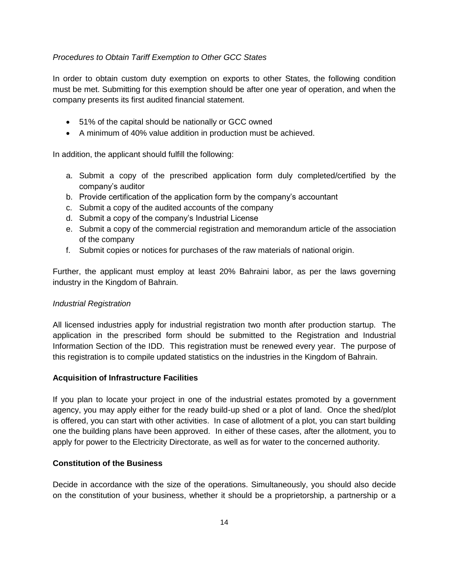### *Procedures to Obtain Tariff Exemption to Other GCC States*

In order to obtain custom duty exemption on exports to other States, the following condition must be met. Submitting for this exemption should be after one year of operation, and when the company presents its first audited financial statement.

- 51% of the capital should be nationally or GCC owned
- A minimum of 40% value addition in production must be achieved.

In addition, the applicant should fulfill the following:

- a. Submit a copy of the prescribed application form duly completed/certified by the company's auditor
- b. Provide certification of the application form by the company's accountant
- c. Submit a copy of the audited accounts of the company
- d. Submit a copy of the company's Industrial License
- e. Submit a copy of the commercial registration and memorandum article of the association of the company
- f. Submit copies or notices for purchases of the raw materials of national origin.

Further, the applicant must employ at least 20% Bahraini labor, as per the laws governing industry in the Kingdom of Bahrain.

### *Industrial Registration*

All licensed industries apply for industrial registration two month after production startup. The application in the prescribed form should be submitted to the Registration and Industrial Information Section of the IDD. This registration must be renewed every year. The purpose of this registration is to compile updated statistics on the industries in the Kingdom of Bahrain.

### **Acquisition of Infrastructure Facilities**

If you plan to locate your project in one of the industrial estates promoted by a government agency, you may apply either for the ready build-up shed or a plot of land. Once the shed/plot is offered, you can start with other activities. In case of allotment of a plot, you can start building one the building plans have been approved. In either of these cases, after the allotment, you to apply for power to the Electricity Directorate, as well as for water to the concerned authority.

### **Constitution of the Business**

Decide in accordance with the size of the operations. Simultaneously, you should also decide on the constitution of your business, whether it should be a proprietorship, a partnership or a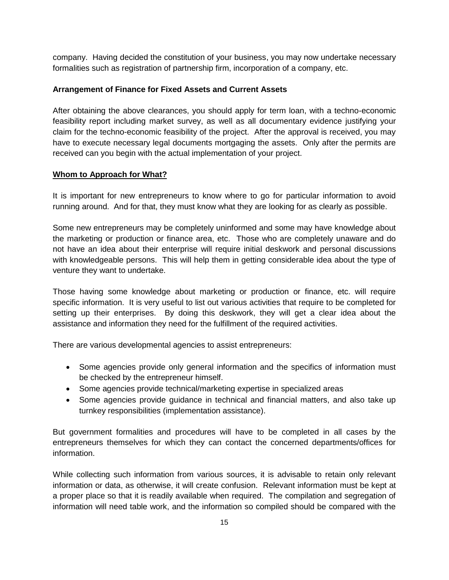company. Having decided the constitution of your business, you may now undertake necessary formalities such as registration of partnership firm, incorporation of a company, etc.

### **Arrangement of Finance for Fixed Assets and Current Assets**

After obtaining the above clearances, you should apply for term loan, with a techno-economic feasibility report including market survey, as well as all documentary evidence justifying your claim for the techno-economic feasibility of the project. After the approval is received, you may have to execute necessary legal documents mortgaging the assets. Only after the permits are received can you begin with the actual implementation of your project.

### **Whom to Approach for What?**

It is important for new entrepreneurs to know where to go for particular information to avoid running around. And for that, they must know what they are looking for as clearly as possible.

Some new entrepreneurs may be completely uninformed and some may have knowledge about the marketing or production or finance area, etc. Those who are completely unaware and do not have an idea about their enterprise will require initial deskwork and personal discussions with knowledgeable persons. This will help them in getting considerable idea about the type of venture they want to undertake.

Those having some knowledge about marketing or production or finance, etc. will require specific information. It is very useful to list out various activities that require to be completed for setting up their enterprises. By doing this deskwork, they will get a clear idea about the assistance and information they need for the fulfillment of the required activities.

There are various developmental agencies to assist entrepreneurs:

- Some agencies provide only general information and the specifics of information must be checked by the entrepreneur himself.
- Some agencies provide technical/marketing expertise in specialized areas
- Some agencies provide guidance in technical and financial matters, and also take up turnkey responsibilities (implementation assistance).

But government formalities and procedures will have to be completed in all cases by the entrepreneurs themselves for which they can contact the concerned departments/offices for information.

While collecting such information from various sources, it is advisable to retain only relevant information or data, as otherwise, it will create confusion. Relevant information must be kept at a proper place so that it is readily available when required. The compilation and segregation of information will need table work, and the information so compiled should be compared with the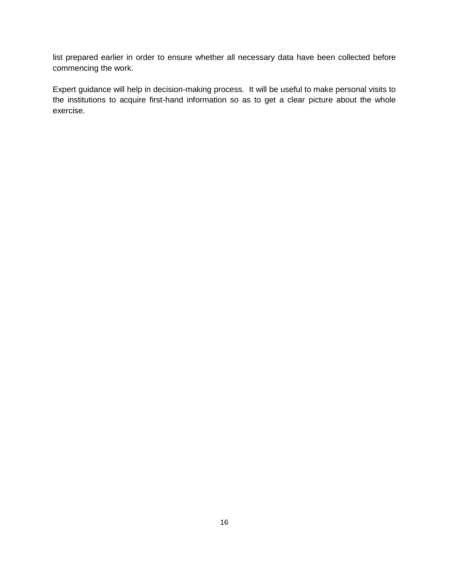list prepared earlier in order to ensure whether all necessary data have been collected before commencing the work.

Expert guidance will help in decision-making process. It will be useful to make personal visits to the institutions to acquire first-hand information so as to get a clear picture about the whole exercise.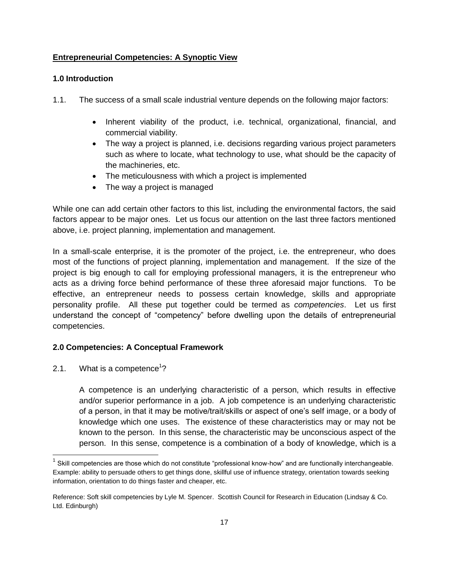## **Entrepreneurial Competencies: A Synoptic View**

### **1.0 Introduction**

- 1.1. The success of a small scale industrial venture depends on the following major factors:
	- Inherent viability of the product, i.e. technical, organizational, financial, and commercial viability.
	- The way a project is planned, i.e. decisions regarding various project parameters such as where to locate, what technology to use, what should be the capacity of the machineries, etc.
	- The meticulousness with which a project is implemented
	- The way a project is managed

While one can add certain other factors to this list, including the environmental factors, the said factors appear to be major ones. Let us focus our attention on the last three factors mentioned above, i.e. project planning, implementation and management.

In a small-scale enterprise, it is the promoter of the project, i.e. the entrepreneur, who does most of the functions of project planning, implementation and management. If the size of the project is big enough to call for employing professional managers, it is the entrepreneur who acts as a driving force behind performance of these three aforesaid major functions. To be effective, an entrepreneur needs to possess certain knowledge, skills and appropriate personality profile. All these put together could be termed as *competencies*. Let us first understand the concept of "competency" before dwelling upon the details of entrepreneurial competencies.

## **2.0 Competencies: A Conceptual Framework**

2.1. What is a competence<sup>1</sup>?

l

A competence is an underlying characteristic of a person, which results in effective and/or superior performance in a job. A job competence is an underlying characteristic of a person, in that it may be motive/trait/skills or aspect of one's self image, or a body of knowledge which one uses. The existence of these characteristics may or may not be known to the person. In this sense, the characteristic may be unconscious aspect of the person. In this sense, competence is a combination of a body of knowledge, which is a

<sup>1</sup> Skill competencies are those which do not constitute "professional know-how" and are functionally interchangeable. Example: ability to persuade others to get things done, skillful use of influence strategy, orientation towards seeking information, orientation to do things faster and cheaper, etc.

Reference: Soft skill competencies by Lyle M. Spencer. Scottish Council for Research in Education (Lindsay & Co. Ltd. Edinburgh)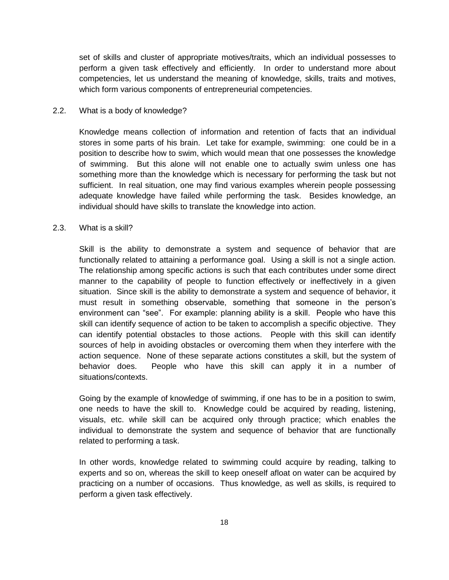set of skills and cluster of appropriate motives/traits, which an individual possesses to perform a given task effectively and efficiently. In order to understand more about competencies, let us understand the meaning of knowledge, skills, traits and motives, which form various components of entrepreneurial competencies.

#### 2.2. What is a body of knowledge?

Knowledge means collection of information and retention of facts that an individual stores in some parts of his brain. Let take for example, swimming: one could be in a position to describe how to swim, which would mean that one possesses the knowledge of swimming. But this alone will not enable one to actually swim unless one has something more than the knowledge which is necessary for performing the task but not sufficient. In real situation, one may find various examples wherein people possessing adequate knowledge have failed while performing the task. Besides knowledge, an individual should have skills to translate the knowledge into action.

#### 2.3. What is a skill?

Skill is the ability to demonstrate a system and sequence of behavior that are functionally related to attaining a performance goal. Using a skill is not a single action. The relationship among specific actions is such that each contributes under some direct manner to the capability of people to function effectively or ineffectively in a given situation. Since skill is the ability to demonstrate a system and sequence of behavior, it must result in something observable, something that someone in the person's environment can "see". For example: planning ability is a skill. People who have this skill can identify sequence of action to be taken to accomplish a specific objective. They can identify potential obstacles to those actions. People with this skill can identify sources of help in avoiding obstacles or overcoming them when they interfere with the action sequence. None of these separate actions constitutes a skill, but the system of behavior does. People who have this skill can apply it in a number of situations/contexts.

Going by the example of knowledge of swimming, if one has to be in a position to swim, one needs to have the skill to. Knowledge could be acquired by reading, listening, visuals, etc. while skill can be acquired only through practice; which enables the individual to demonstrate the system and sequence of behavior that are functionally related to performing a task.

In other words, knowledge related to swimming could acquire by reading, talking to experts and so on, whereas the skill to keep oneself afloat on water can be acquired by practicing on a number of occasions. Thus knowledge, as well as skills, is required to perform a given task effectively.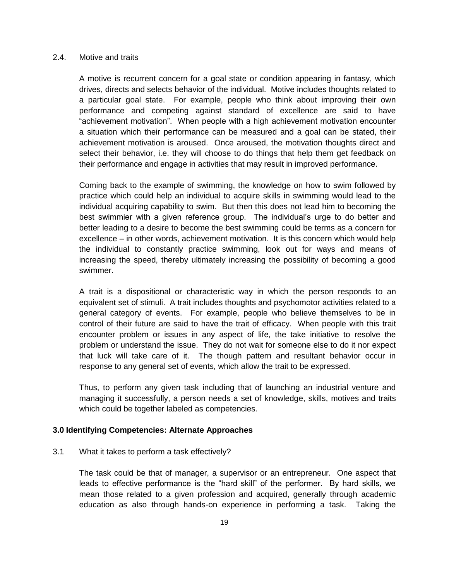#### 2.4. Motive and traits

A motive is recurrent concern for a goal state or condition appearing in fantasy, which drives, directs and selects behavior of the individual. Motive includes thoughts related to a particular goal state. For example, people who think about improving their own performance and competing against standard of excellence are said to have "achievement motivation". When people with a high achievement motivation encounter a situation which their performance can be measured and a goal can be stated, their achievement motivation is aroused. Once aroused, the motivation thoughts direct and select their behavior, i.e. they will choose to do things that help them get feedback on their performance and engage in activities that may result in improved performance.

Coming back to the example of swimming, the knowledge on how to swim followed by practice which could help an individual to acquire skills in swimming would lead to the individual acquiring capability to swim. But then this does not lead him to becoming the best swimmier with a given reference group. The individual's urge to do better and better leading to a desire to become the best swimming could be terms as a concern for excellence – in other words, achievement motivation. It is this concern which would help the individual to constantly practice swimming, look out for ways and means of increasing the speed, thereby ultimately increasing the possibility of becoming a good swimmer.

A trait is a dispositional or characteristic way in which the person responds to an equivalent set of stimuli. A trait includes thoughts and psychomotor activities related to a general category of events. For example, people who believe themselves to be in control of their future are said to have the trait of efficacy. When people with this trait encounter problem or issues in any aspect of life, the take initiative to resolve the problem or understand the issue. They do not wait for someone else to do it nor expect that luck will take care of it. The though pattern and resultant behavior occur in response to any general set of events, which allow the trait to be expressed.

Thus, to perform any given task including that of launching an industrial venture and managing it successfully, a person needs a set of knowledge, skills, motives and traits which could be together labeled as competencies.

#### **3.0 Identifying Competencies: Alternate Approaches**

3.1 What it takes to perform a task effectively?

The task could be that of manager, a supervisor or an entrepreneur. One aspect that leads to effective performance is the "hard skill" of the performer. By hard skills, we mean those related to a given profession and acquired, generally through academic education as also through hands-on experience in performing a task. Taking the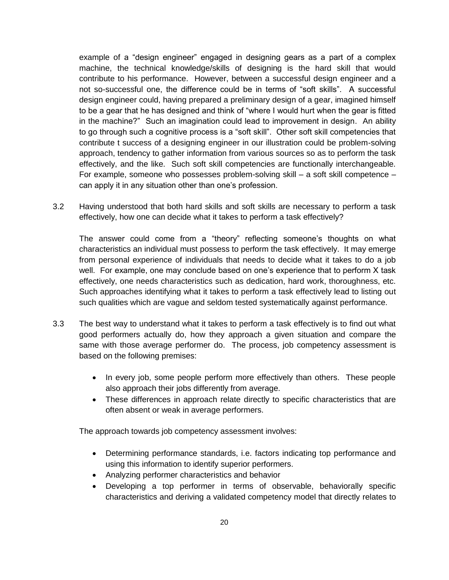example of a "design engineer" engaged in designing gears as a part of a complex machine, the technical knowledge/skills of designing is the hard skill that would contribute to his performance. However, between a successful design engineer and a not so-successful one, the difference could be in terms of "soft skills". A successful design engineer could, having prepared a preliminary design of a gear, imagined himself to be a gear that he has designed and think of "where I would hurt when the gear is fitted in the machine?" Such an imagination could lead to improvement in design. An ability to go through such a cognitive process is a "soft skill". Other soft skill competencies that contribute t success of a designing engineer in our illustration could be problem-solving approach, tendency to gather information from various sources so as to perform the task effectively, and the like. Such soft skill competencies are functionally interchangeable. For example, someone who possesses problem-solving skill – a soft skill competence – can apply it in any situation other than one's profession.

3.2 Having understood that both hard skills and soft skills are necessary to perform a task effectively, how one can decide what it takes to perform a task effectively?

The answer could come from a "theory" reflecting someone's thoughts on what characteristics an individual must possess to perform the task effectively. It may emerge from personal experience of individuals that needs to decide what it takes to do a job well. For example, one may conclude based on one's experience that to perform X task effectively, one needs characteristics such as dedication, hard work, thoroughness, etc. Such approaches identifying what it takes to perform a task effectively lead to listing out such qualities which are vague and seldom tested systematically against performance.

- 3.3 The best way to understand what it takes to perform a task effectively is to find out what good performers actually do, how they approach a given situation and compare the same with those average performer do. The process, job competency assessment is based on the following premises:
	- In every job, some people perform more effectively than others. These people also approach their jobs differently from average.
	- These differences in approach relate directly to specific characteristics that are often absent or weak in average performers.

The approach towards job competency assessment involves:

- Determining performance standards, i.e. factors indicating top performance and using this information to identify superior performers.
- Analyzing performer characteristics and behavior
- Developing a top performer in terms of observable, behaviorally specific characteristics and deriving a validated competency model that directly relates to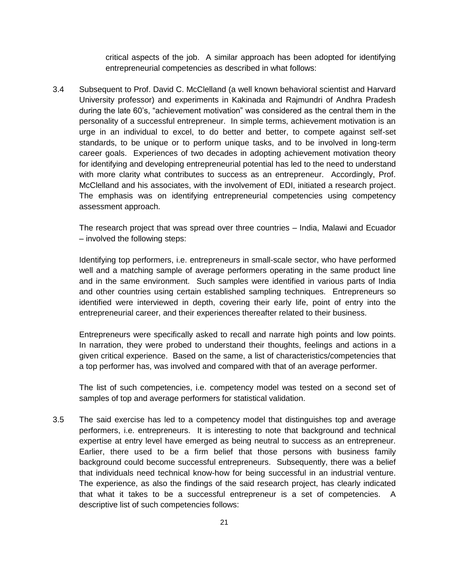critical aspects of the job. A similar approach has been adopted for identifying entrepreneurial competencies as described in what follows:

3.4 Subsequent to Prof. David C. McClelland (a well known behavioral scientist and Harvard University professor) and experiments in Kakinada and Rajmundri of Andhra Pradesh during the late 60's, "achievement motivation" was considered as the central them in the personality of a successful entrepreneur. In simple terms, achievement motivation is an urge in an individual to excel, to do better and better, to compete against self-set standards, to be unique or to perform unique tasks, and to be involved in long-term career goals. Experiences of two decades in adopting achievement motivation theory for identifying and developing entrepreneurial potential has led to the need to understand with more clarity what contributes to success as an entrepreneur. Accordingly, Prof. McClelland and his associates, with the involvement of EDI, initiated a research project. The emphasis was on identifying entrepreneurial competencies using competency assessment approach.

The research project that was spread over three countries – India, Malawi and Ecuador – involved the following steps:

Identifying top performers, i.e. entrepreneurs in small-scale sector, who have performed well and a matching sample of average performers operating in the same product line and in the same environment. Such samples were identified in various parts of India and other countries using certain established sampling techniques. Entrepreneurs so identified were interviewed in depth, covering their early life, point of entry into the entrepreneurial career, and their experiences thereafter related to their business.

Entrepreneurs were specifically asked to recall and narrate high points and low points. In narration, they were probed to understand their thoughts, feelings and actions in a given critical experience. Based on the same, a list of characteristics/competencies that a top performer has, was involved and compared with that of an average performer.

The list of such competencies, i.e. competency model was tested on a second set of samples of top and average performers for statistical validation.

3.5 The said exercise has led to a competency model that distinguishes top and average performers, i.e. entrepreneurs. It is interesting to note that background and technical expertise at entry level have emerged as being neutral to success as an entrepreneur. Earlier, there used to be a firm belief that those persons with business family background could become successful entrepreneurs. Subsequently, there was a belief that individuals need technical know-how for being successful in an industrial venture. The experience, as also the findings of the said research project, has clearly indicated that what it takes to be a successful entrepreneur is a set of competencies. A descriptive list of such competencies follows: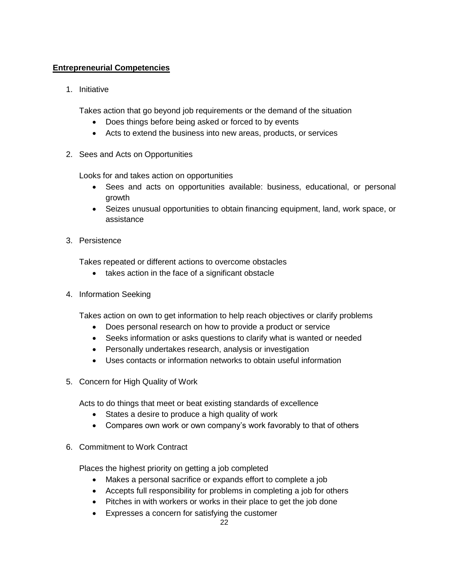# **Entrepreneurial Competencies**

1. Initiative

Takes action that go beyond job requirements or the demand of the situation

- Does things before being asked or forced to by events
- Acts to extend the business into new areas, products, or services
- 2. Sees and Acts on Opportunities

Looks for and takes action on opportunities

- Sees and acts on opportunities available: business, educational, or personal growth
- Seizes unusual opportunities to obtain financing equipment, land, work space, or assistance
- 3. Persistence

Takes repeated or different actions to overcome obstacles

- takes action in the face of a significant obstacle
- 4. Information Seeking

Takes action on own to get information to help reach objectives or clarify problems

- Does personal research on how to provide a product or service
- Seeks information or asks questions to clarify what is wanted or needed
- Personally undertakes research, analysis or investigation
- Uses contacts or information networks to obtain useful information
- 5. Concern for High Quality of Work

Acts to do things that meet or beat existing standards of excellence

- States a desire to produce a high quality of work
- Compares own work or own company's work favorably to that of others
- 6. Commitment to Work Contract

Places the highest priority on getting a job completed

- Makes a personal sacrifice or expands effort to complete a job
- Accepts full responsibility for problems in completing a job for others
- Pitches in with workers or works in their place to get the job done
- Expresses a concern for satisfying the customer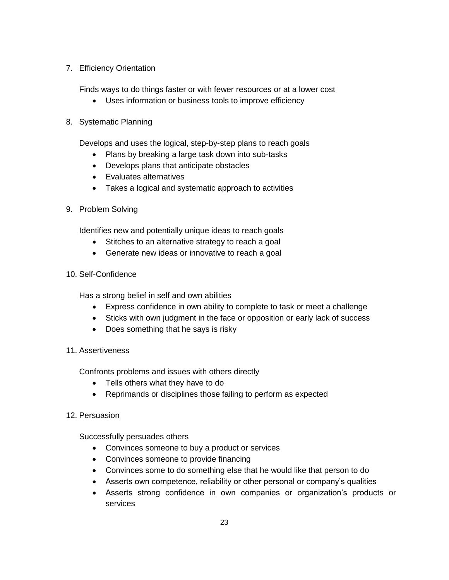## 7. Efficiency Orientation

Finds ways to do things faster or with fewer resources or at a lower cost

Uses information or business tools to improve efficiency

## 8. Systematic Planning

Develops and uses the logical, step-by-step plans to reach goals

- Plans by breaking a large task down into sub-tasks
- Develops plans that anticipate obstacles
- Evaluates alternatives
- Takes a logical and systematic approach to activities
- 9. Problem Solving

Identifies new and potentially unique ideas to reach goals

- Stitches to an alternative strategy to reach a goal
- Generate new ideas or innovative to reach a goal
- 10. Self-Confidence

Has a strong belief in self and own abilities

- Express confidence in own ability to complete to task or meet a challenge
- Sticks with own judgment in the face or opposition or early lack of success
- Does something that he says is risky
- 11. Assertiveness

Confronts problems and issues with others directly

- Tells others what they have to do
- Reprimands or disciplines those failing to perform as expected
- 12. Persuasion

Successfully persuades others

- Convinces someone to buy a product or services
- Convinces someone to provide financing
- Convinces some to do something else that he would like that person to do
- Asserts own competence, reliability or other personal or company's qualities
- Asserts strong confidence in own companies or organization's products or services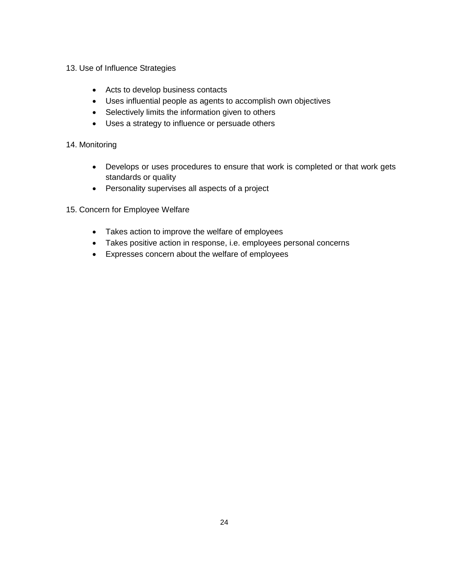- 13. Use of Influence Strategies
	- Acts to develop business contacts
	- Uses influential people as agents to accomplish own objectives
	- Selectively limits the information given to others
	- Uses a strategy to influence or persuade others

### 14. Monitoring

- Develops or uses procedures to ensure that work is completed or that work gets standards or quality
- Personality supervises all aspects of a project
- 15. Concern for Employee Welfare
	- Takes action to improve the welfare of employees
	- Takes positive action in response, i.e. employees personal concerns
	- Expresses concern about the welfare of employees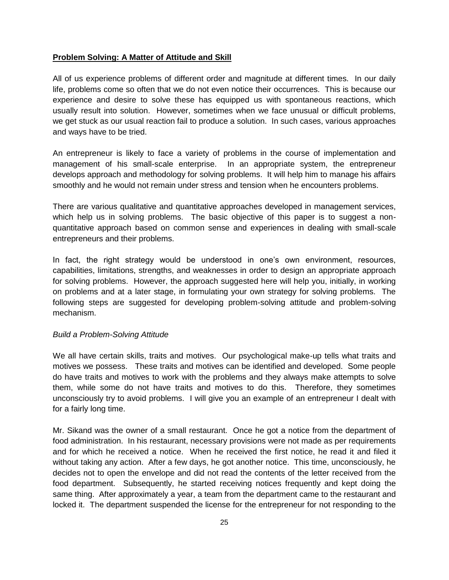### **Problem Solving: A Matter of Attitude and Skill**

All of us experience problems of different order and magnitude at different times. In our daily life, problems come so often that we do not even notice their occurrences. This is because our experience and desire to solve these has equipped us with spontaneous reactions, which usually result into solution. However, sometimes when we face unusual or difficult problems, we get stuck as our usual reaction fail to produce a solution. In such cases, various approaches and ways have to be tried.

An entrepreneur is likely to face a variety of problems in the course of implementation and management of his small-scale enterprise. In an appropriate system, the entrepreneur develops approach and methodology for solving problems. It will help him to manage his affairs smoothly and he would not remain under stress and tension when he encounters problems.

There are various qualitative and quantitative approaches developed in management services, which help us in solving problems. The basic objective of this paper is to suggest a nonquantitative approach based on common sense and experiences in dealing with small-scale entrepreneurs and their problems.

In fact, the right strategy would be understood in one's own environment, resources, capabilities, limitations, strengths, and weaknesses in order to design an appropriate approach for solving problems. However, the approach suggested here will help you, initially, in working on problems and at a later stage, in formulating your own strategy for solving problems. The following steps are suggested for developing problem-solving attitude and problem-solving mechanism.

### *Build a Problem-Solving Attitude*

We all have certain skills, traits and motives. Our psychological make-up tells what traits and motives we possess. These traits and motives can be identified and developed. Some people do have traits and motives to work with the problems and they always make attempts to solve them, while some do not have traits and motives to do this. Therefore, they sometimes unconsciously try to avoid problems. I will give you an example of an entrepreneur I dealt with for a fairly long time.

Mr. Sikand was the owner of a small restaurant. Once he got a notice from the department of food administration. In his restaurant, necessary provisions were not made as per requirements and for which he received a notice. When he received the first notice, he read it and filed it without taking any action. After a few days, he got another notice. This time, unconsciously, he decides not to open the envelope and did not read the contents of the letter received from the food department. Subsequently, he started receiving notices frequently and kept doing the same thing. After approximately a year, a team from the department came to the restaurant and locked it. The department suspended the license for the entrepreneur for not responding to the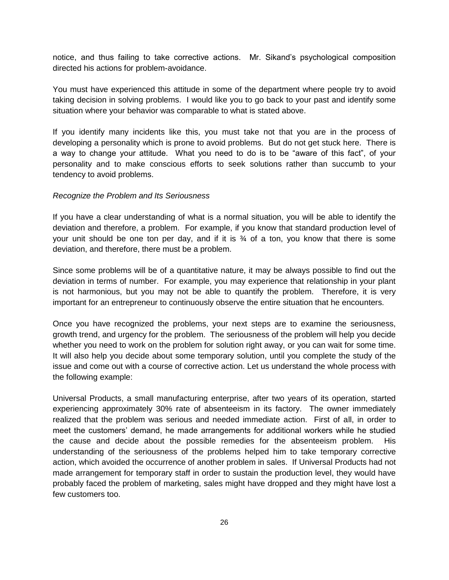notice, and thus failing to take corrective actions. Mr. Sikand's psychological composition directed his actions for problem-avoidance.

You must have experienced this attitude in some of the department where people try to avoid taking decision in solving problems. I would like you to go back to your past and identify some situation where your behavior was comparable to what is stated above.

If you identify many incidents like this, you must take not that you are in the process of developing a personality which is prone to avoid problems. But do not get stuck here. There is a way to change your attitude. What you need to do is to be "aware of this fact", of your personality and to make conscious efforts to seek solutions rather than succumb to your tendency to avoid problems.

#### *Recognize the Problem and Its Seriousness*

If you have a clear understanding of what is a normal situation, you will be able to identify the deviation and therefore, a problem. For example, if you know that standard production level of your unit should be one ton per day, and if it is  $\frac{3}{4}$  of a ton, you know that there is some deviation, and therefore, there must be a problem.

Since some problems will be of a quantitative nature, it may be always possible to find out the deviation in terms of number. For example, you may experience that relationship in your plant is not harmonious, but you may not be able to quantify the problem. Therefore, it is very important for an entrepreneur to continuously observe the entire situation that he encounters.

Once you have recognized the problems, your next steps are to examine the seriousness, growth trend, and urgency for the problem. The seriousness of the problem will help you decide whether you need to work on the problem for solution right away, or you can wait for some time. It will also help you decide about some temporary solution, until you complete the study of the issue and come out with a course of corrective action. Let us understand the whole process with the following example:

Universal Products, a small manufacturing enterprise, after two years of its operation, started experiencing approximately 30% rate of absenteeism in its factory. The owner immediately realized that the problem was serious and needed immediate action. First of all, in order to meet the customers' demand, he made arrangements for additional workers while he studied the cause and decide about the possible remedies for the absenteeism problem. His understanding of the seriousness of the problems helped him to take temporary corrective action, which avoided the occurrence of another problem in sales. If Universal Products had not made arrangement for temporary staff in order to sustain the production level, they would have probably faced the problem of marketing, sales might have dropped and they might have lost a few customers too.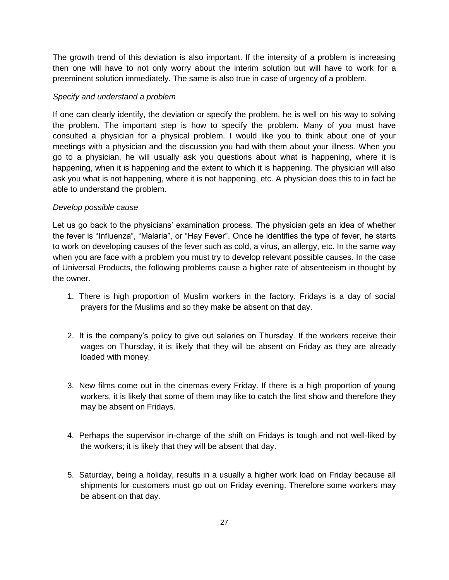The growth trend of this deviation is also important. If the intensity of a problem is increasing then one will have to not only worry about the interim solution but will have to work for a preeminent solution immediately. The same is also true in case of urgency of a problem.

### *Specify and understand a problem*

If one can clearly identify, the deviation or specify the problem, he is well on his way to solving the problem. The important step is how to specify the problem. Many of you must have consulted a physician for a physical problem. I would like you to think about one of your meetings with a physician and the discussion you had with them about your illness. When you go to a physician, he will usually ask you questions about what is happening, where it is happening, when it is happening and the extent to which it is happening. The physician will also ask you what is not happening, where it is not happening, etc. A physician does this to in fact be able to understand the problem.

### *Develop possible cause*

Let us go back to the physicians' examination process. The physician gets an idea of whether the fever is "Influenza", "Malaria", or "Hay Fever". Once he identifies the type of fever, he starts to work on developing causes of the fever such as cold, a virus, an allergy, etc. In the same way when you are face with a problem you must try to develop relevant possible causes. In the case of Universal Products, the following problems cause a higher rate of absenteeism in thought by the owner.

- 1. There is high proportion of Muslim workers in the factory. Fridays is a day of social prayers for the Muslims and so they make be absent on that day.
- 2. It is the company's policy to give out salaries on Thursday. If the workers receive their wages on Thursday, it is likely that they will be absent on Friday as they are already loaded with money.
- 3. New films come out in the cinemas every Friday. If there is a high proportion of young workers, it is likely that some of them may like to catch the first show and therefore they may be absent on Fridays.
- 4. Perhaps the supervisor in-charge of the shift on Fridays is tough and not well-liked by the workers; it is likely that they will be absent that day.
- 5. Saturday, being a holiday, results in a usually a higher work load on Friday because all shipments for customers must go out on Friday evening. Therefore some workers may be absent on that day.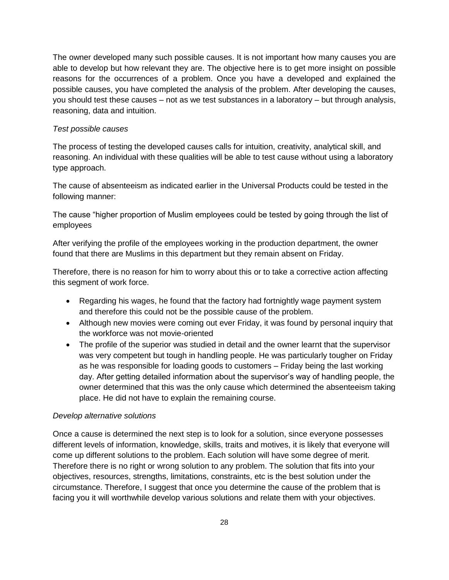The owner developed many such possible causes. It is not important how many causes you are able to develop but how relevant they are. The objective here is to get more insight on possible reasons for the occurrences of a problem. Once you have a developed and explained the possible causes, you have completed the analysis of the problem. After developing the causes, you should test these causes – not as we test substances in a laboratory – but through analysis, reasoning, data and intuition.

### *Test possible causes*

The process of testing the developed causes calls for intuition, creativity, analytical skill, and reasoning. An individual with these qualities will be able to test cause without using a laboratory type approach.

The cause of absenteeism as indicated earlier in the Universal Products could be tested in the following manner:

The cause "higher proportion of Muslim employees could be tested by going through the list of employees

After verifying the profile of the employees working in the production department, the owner found that there are Muslims in this department but they remain absent on Friday.

Therefore, there is no reason for him to worry about this or to take a corrective action affecting this segment of work force.

- Regarding his wages, he found that the factory had fortnightly wage payment system and therefore this could not be the possible cause of the problem.
- Although new movies were coming out ever Friday, it was found by personal inquiry that the workforce was not movie-oriented
- The profile of the superior was studied in detail and the owner learnt that the supervisor was very competent but tough in handling people. He was particularly tougher on Friday as he was responsible for loading goods to customers – Friday being the last working day. After getting detailed information about the supervisor's way of handling people, the owner determined that this was the only cause which determined the absenteeism taking place. He did not have to explain the remaining course.

### *Develop alternative solutions*

Once a cause is determined the next step is to look for a solution, since everyone possesses different levels of information, knowledge, skills, traits and motives, it is likely that everyone will come up different solutions to the problem. Each solution will have some degree of merit. Therefore there is no right or wrong solution to any problem. The solution that fits into your objectives, resources, strengths, limitations, constraints, etc is the best solution under the circumstance. Therefore, I suggest that once you determine the cause of the problem that is facing you it will worthwhile develop various solutions and relate them with your objectives.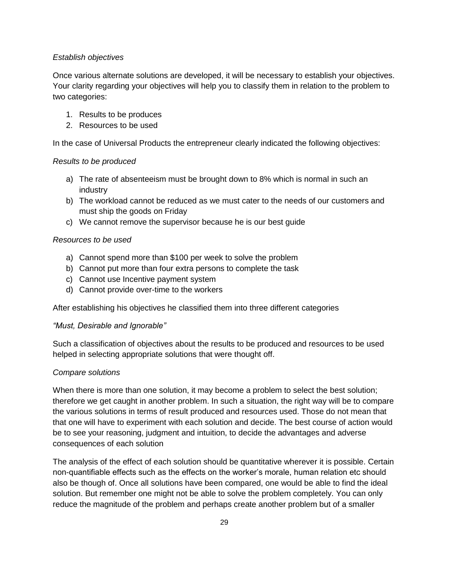### *Establish objectives*

Once various alternate solutions are developed, it will be necessary to establish your objectives. Your clarity regarding your objectives will help you to classify them in relation to the problem to two categories:

- 1. Results to be produces
- 2. Resources to be used

In the case of Universal Products the entrepreneur clearly indicated the following objectives:

### *Results to be produced*

- a) The rate of absenteeism must be brought down to 8% which is normal in such an industry
- b) The workload cannot be reduced as we must cater to the needs of our customers and must ship the goods on Friday
- c) We cannot remove the supervisor because he is our best guide

### *Resources to be used*

- a) Cannot spend more than \$100 per week to solve the problem
- b) Cannot put more than four extra persons to complete the task
- c) Cannot use Incentive payment system
- d) Cannot provide over-time to the workers

After establishing his objectives he classified them into three different categories

### *"Must, Desirable and Ignorable"*

Such a classification of objectives about the results to be produced and resources to be used helped in selecting appropriate solutions that were thought off.

### *Compare solutions*

When there is more than one solution, it may become a problem to select the best solution; therefore we get caught in another problem. In such a situation, the right way will be to compare the various solutions in terms of result produced and resources used. Those do not mean that that one will have to experiment with each solution and decide. The best course of action would be to see your reasoning, judgment and intuition, to decide the advantages and adverse consequences of each solution

The analysis of the effect of each solution should be quantitative wherever it is possible. Certain non-quantifiable effects such as the effects on the worker's morale, human relation etc should also be though of. Once all solutions have been compared, one would be able to find the ideal solution. But remember one might not be able to solve the problem completely. You can only reduce the magnitude of the problem and perhaps create another problem but of a smaller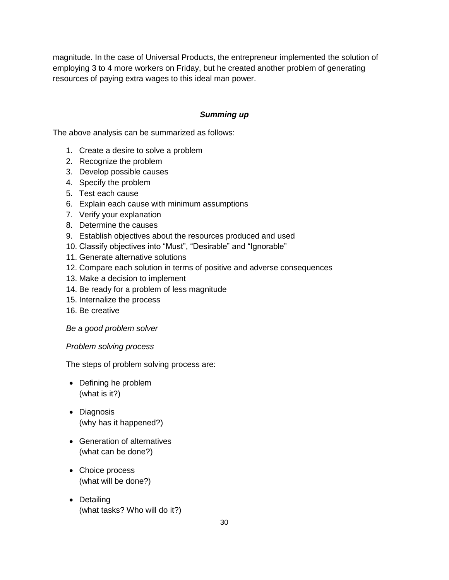magnitude. In the case of Universal Products, the entrepreneur implemented the solution of employing 3 to 4 more workers on Friday, but he created another problem of generating resources of paying extra wages to this ideal man power.

### *Summing up*

The above analysis can be summarized as follows:

- 1. Create a desire to solve a problem
- 2. Recognize the problem
- 3. Develop possible causes
- 4. Specify the problem
- 5. Test each cause
- 6. Explain each cause with minimum assumptions
- 7. Verify your explanation
- 8. Determine the causes
- 9. Establish objectives about the resources produced and used
- 10. Classify objectives into "Must", "Desirable" and "Ignorable"
- 11. Generate alternative solutions
- 12. Compare each solution in terms of positive and adverse consequences
- 13. Make a decision to implement
- 14. Be ready for a problem of less magnitude
- 15. Internalize the process
- 16. Be creative

### *Be a good problem solver*

### *Problem solving process*

The steps of problem solving process are:

- Defining he problem (what is it?)
- Diagnosis (why has it happened?)
- Generation of alternatives (what can be done?)
- Choice process (what will be done?)
- Detailing (what tasks? Who will do it?)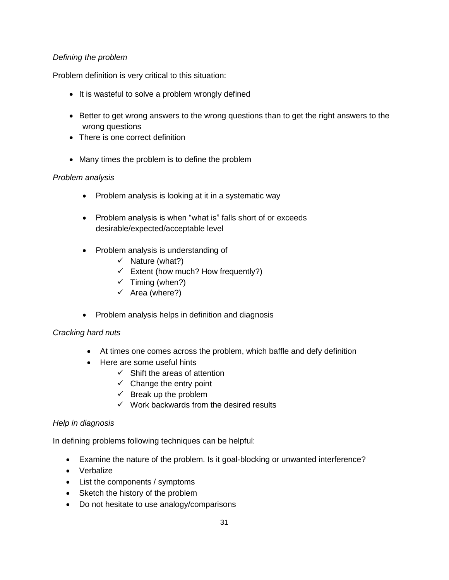## *Defining the problem*

Problem definition is very critical to this situation:

- It is wasteful to solve a problem wrongly defined
- Better to get wrong answers to the wrong questions than to get the right answers to the wrong questions
- There is one correct definition
- Many times the problem is to define the problem

## *Problem analysis*

- Problem analysis is looking at it in a systematic way
- Problem analysis is when "what is" falls short of or exceeds desirable/expected/acceptable level
- Problem analysis is understanding of
	- $\checkmark$  Nature (what?)
	- $\checkmark$  Extent (how much? How frequently?)
	- $\checkmark$  Timing (when?)
	- $\checkmark$  Area (where?)
- Problem analysis helps in definition and diagnosis

## *Cracking hard nuts*

- At times one comes across the problem, which baffle and defy definition
- Here are some useful hints
	- $\checkmark$  Shift the areas of attention
	- $\checkmark$  Change the entry point
	- $\checkmark$  Break up the problem
	- $\checkmark$  Work backwards from the desired results

## *Help in diagnosis*

In defining problems following techniques can be helpful:

- Examine the nature of the problem. Is it goal-blocking or unwanted interference?
- Verbalize
- List the components / symptoms
- Sketch the history of the problem
- Do not hesitate to use analogy/comparisons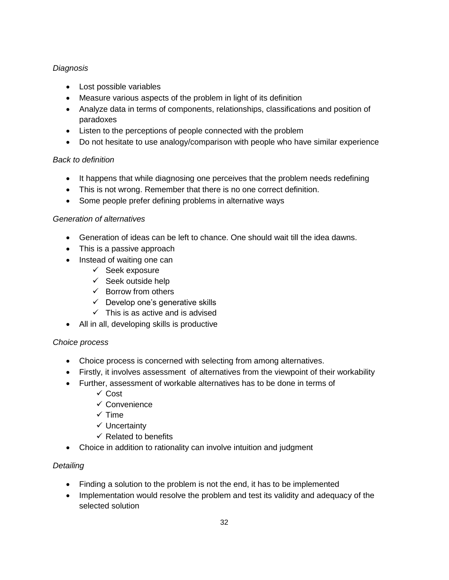# *Diagnosis*

- Lost possible variables
- Measure various aspects of the problem in light of its definition
- Analyze data in terms of components, relationships, classifications and position of paradoxes
- Listen to the perceptions of people connected with the problem
- Do not hesitate to use analogy/comparison with people who have similar experience

## *Back to definition*

- It happens that while diagnosing one perceives that the problem needs redefining
- This is not wrong. Remember that there is no one correct definition.
- Some people prefer defining problems in alternative ways

## *Generation of alternatives*

- Generation of ideas can be left to chance. One should wait till the idea dawns.
- This is a passive approach
- Instead of waiting one can
	- $\checkmark$  Seek exposure
	- $\checkmark$  Seek outside help
	- $\checkmark$  Borrow from others
	- $\checkmark$  Develop one's generative skills
	- $\checkmark$  This is as active and is advised
- All in all, developing skills is productive

## *Choice process*

- Choice process is concerned with selecting from among alternatives.
- Firstly, it involves assessment of alternatives from the viewpoint of their workability
- Further, assessment of workable alternatives has to be done in terms of
	- $\checkmark$  Cost
	- $\checkmark$  Convenience
	- $\checkmark$  Time
	- $\checkmark$  Uncertainty
	- $\checkmark$  Related to benefits
- Choice in addition to rationality can involve intuition and judgment

# *Detailing*

- Finding a solution to the problem is not the end, it has to be implemented
- Implementation would resolve the problem and test its validity and adequacy of the selected solution